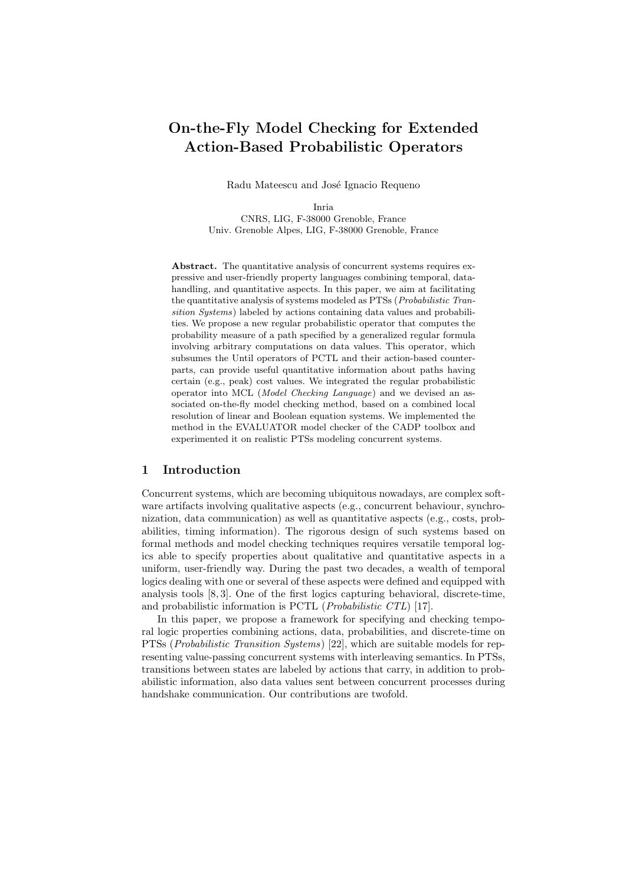# On-the-Fly Model Checking for Extended Action-Based Probabilistic Operators

Radu Mateescu and José Ignacio Requeno

Inria CNRS, LIG, F-38000 Grenoble, France Univ. Grenoble Alpes, LIG, F-38000 Grenoble, France

Abstract. The quantitative analysis of concurrent systems requires expressive and user-friendly property languages combining temporal, datahandling, and quantitative aspects. In this paper, we aim at facilitating the quantitative analysis of systems modeled as PTSs (Probabilistic Transition Systems) labeled by actions containing data values and probabilities. We propose a new regular probabilistic operator that computes the probability measure of a path specified by a generalized regular formula involving arbitrary computations on data values. This operator, which subsumes the Until operators of PCTL and their action-based counterparts, can provide useful quantitative information about paths having certain (e.g., peak) cost values. We integrated the regular probabilistic operator into MCL (Model Checking Language) and we devised an associated on-the-fly model checking method, based on a combined local resolution of linear and Boolean equation systems. We implemented the method in the EVALUATOR model checker of the CADP toolbox and experimented it on realistic PTSs modeling concurrent systems.

# 1 Introduction

Concurrent systems, which are becoming ubiquitous nowadays, are complex software artifacts involving qualitative aspects (e.g., concurrent behaviour, synchronization, data communication) as well as quantitative aspects (e.g., costs, probabilities, timing information). The rigorous design of such systems based on formal methods and model checking techniques requires versatile temporal logics able to specify properties about qualitative and quantitative aspects in a uniform, user-friendly way. During the past two decades, a wealth of temporal logics dealing with one or several of these aspects were defined and equipped with analysis tools [8, 3]. One of the first logics capturing behavioral, discrete-time, and probabilistic information is PCTL (Probabilistic CTL) [17].

In this paper, we propose a framework for specifying and checking temporal logic properties combining actions, data, probabilities, and discrete-time on PTSs (Probabilistic Transition Systems) [22], which are suitable models for representing value-passing concurrent systems with interleaving semantics. In PTSs, transitions between states are labeled by actions that carry, in addition to probabilistic information, also data values sent between concurrent processes during handshake communication. Our contributions are twofold.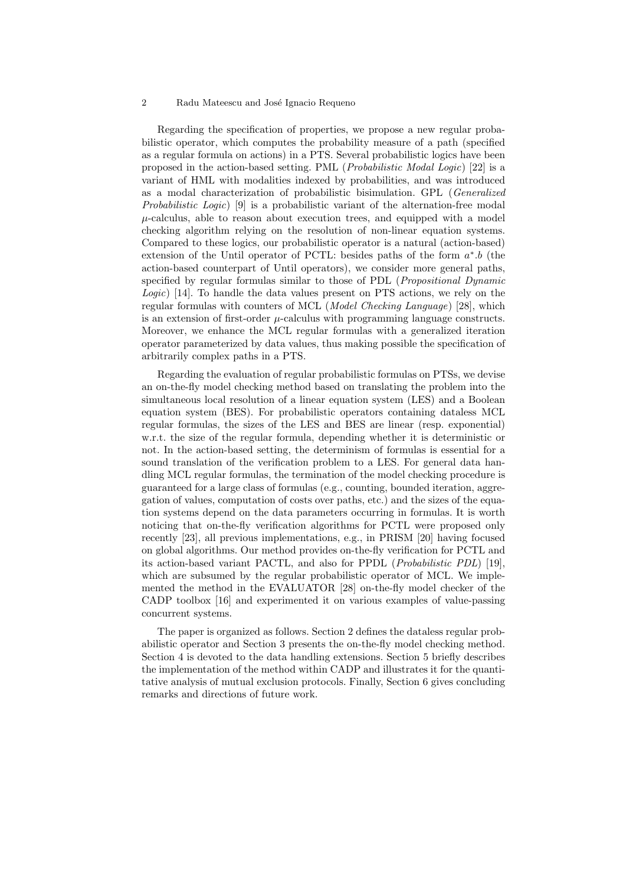Regarding the specification of properties, we propose a new regular probabilistic operator, which computes the probability measure of a path (specified as a regular formula on actions) in a PTS. Several probabilistic logics have been proposed in the action-based setting. PML (Probabilistic Modal Logic) [22] is a variant of HML with modalities indexed by probabilities, and was introduced as a modal characterization of probabilistic bisimulation. GPL (Generalized Probabilistic Logic) [9] is a probabilistic variant of the alternation-free modal  $\mu$ -calculus, able to reason about execution trees, and equipped with a model checking algorithm relying on the resolution of non-linear equation systems. Compared to these logics, our probabilistic operator is a natural (action-based) extension of the Until operator of PCTL: besides paths of the form  $a^* b$  (the action-based counterpart of Until operators), we consider more general paths, specified by regular formulas similar to those of PDL (*Propositional Dynamic* Logic) [14]. To handle the data values present on PTS actions, we rely on the regular formulas with counters of MCL (Model Checking Language) [28], which is an extension of first-order  $\mu$ -calculus with programming language constructs. Moreover, we enhance the MCL regular formulas with a generalized iteration operator parameterized by data values, thus making possible the specification of arbitrarily complex paths in a PTS.

Regarding the evaluation of regular probabilistic formulas on PTSs, we devise an on-the-fly model checking method based on translating the problem into the simultaneous local resolution of a linear equation system (LES) and a Boolean equation system (BES). For probabilistic operators containing dataless MCL regular formulas, the sizes of the LES and BES are linear (resp. exponential) w.r.t. the size of the regular formula, depending whether it is deterministic or not. In the action-based setting, the determinism of formulas is essential for a sound translation of the verification problem to a LES. For general data handling MCL regular formulas, the termination of the model checking procedure is guaranteed for a large class of formulas (e.g., counting, bounded iteration, aggregation of values, computation of costs over paths, etc.) and the sizes of the equation systems depend on the data parameters occurring in formulas. It is worth noticing that on-the-fly verification algorithms for PCTL were proposed only recently [23], all previous implementations, e.g., in PRISM [20] having focused on global algorithms. Our method provides on-the-fly verification for PCTL and its action-based variant PACTL, and also for PPDL (Probabilistic PDL) [19], which are subsumed by the regular probabilistic operator of MCL. We implemented the method in the EVALUATOR [28] on-the-fly model checker of the CADP toolbox [16] and experimented it on various examples of value-passing concurrent systems.

The paper is organized as follows. Section 2 defines the dataless regular probabilistic operator and Section 3 presents the on-the-fly model checking method. Section 4 is devoted to the data handling extensions. Section 5 briefly describes the implementation of the method within CADP and illustrates it for the quantitative analysis of mutual exclusion protocols. Finally, Section 6 gives concluding remarks and directions of future work.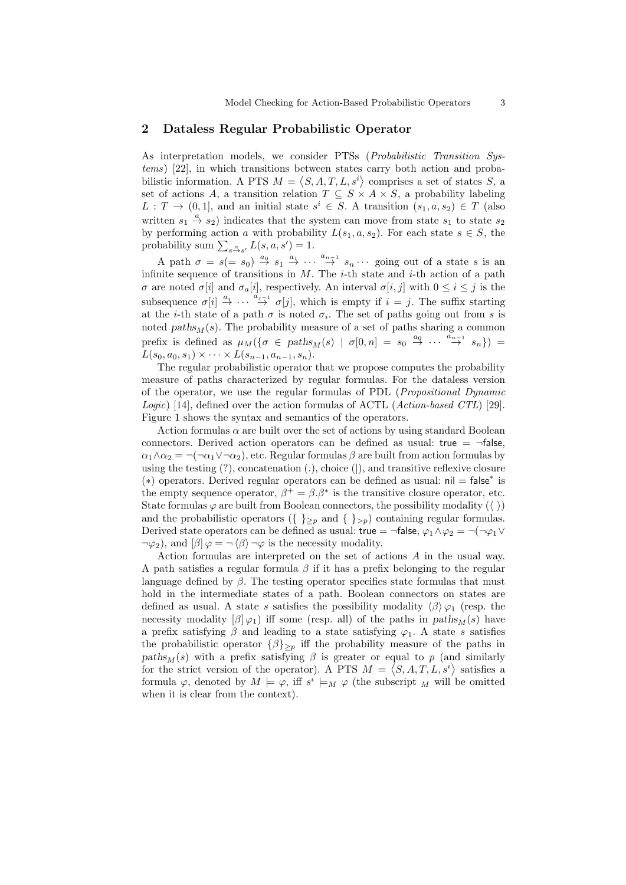## 2 Dataless Regular Probabilistic Operator

As interpretation models, we consider PTSs (Probabilistic Transition Systems) [22], in which transitions between states carry both action and probabilistic information. A PTS  $M = \langle S, A, T, L, s^i \rangle$  comprises a set of states S, a set of actions A, a transition relation  $T \subseteq S \times A \times S$ , a probability labeling  $L: T \to (0,1],$  and an initial state  $s^i \in S$ . A transition  $(s_1, a, s_2) \in T$  (also written  $s_1 \stackrel{a}{\rightarrow} s_2$ ) indicates that the system can move from state  $s_1$  to state  $s_2$ by performing action a with probability  $L(s_1, a, s_2)$ . For each state  $s \in S$ , the probability sum  $\sum_{s\stackrel{a}{\to}s'} L(s,a,s') = 1.$ 

A path  $\sigma = s (= s_0) \stackrel{a_0}{\rightarrow} s_1 \stackrel{a_1}{\rightarrow} \cdots \stackrel{a_{n-1}}{\rightarrow} s_n \cdots$  going out of a state s is an infinite sequence of transitions in  $M$ . The *i*-th state and *i*-th action of a path σ are noted  $\sigma[i]$  and  $\sigma_a[i]$ , respectively. An interval  $\sigma[i, j]$  with  $0 \le i \le j$  is the subsequence  $\sigma[i] \stackrel{a_i}{\rightarrow} \cdots \stackrel{a_{j-1}}{\rightarrow} \sigma[j]$ , which is empty if  $i = j$ . The suffix starting at the *i*-th state of a path  $\sigma$  is noted  $\sigma_i$ . The set of paths going out from *s* is noted  $paths_M(s)$ . The probability measure of a set of paths sharing a common prefix is defined as  $\mu_M(\{\sigma \in paths_M(s) \mid \sigma[0,n] = s_0 \stackrel{a_0}{\rightarrow} \cdots \stackrel{a_{n-1}}{\rightarrow} s_n\}) =$  $L(s_0, a_0, s_1) \times \cdots \times L(s_{n-1}, a_{n-1}, s_n).$ 

The regular probabilistic operator that we propose computes the probability measure of paths characterized by regular formulas. For the dataless version of the operator, we use the regular formulas of PDL (Propositional Dynamic Logic) [14], defined over the action formulas of ACTL (Action-based CTL) [29]. Figure 1 shows the syntax and semantics of the operators.

Action formulas  $\alpha$  are built over the set of actions by using standard Boolean connectors. Derived action operators can be defined as usual: true  $= \neg$  false,  $\alpha_1 \wedge \alpha_2 = \neg(\neg \alpha_1 \vee \neg \alpha_2)$ , etc. Regular formulas  $\beta$  are built from action formulas by using the testing  $(?)$ , concatenation  $(.)$ , choice  $($ ), and transitive reflexive closure (∗) operators. Derived regular operators can be defined as usual: nil = false<sup>∗</sup> is the empty sequence operator,  $\beta^+ = \beta \beta^*$  is the transitive closure operator, etc. State formulas  $\varphi$  are built from Boolean connectors, the possibility modality  $(\langle \ \rangle)$ and the probabilistic operators ({ $\}_{\geq p}$  and { $\}_{\geq p}$ ) containing regular formulas. Derived state operators can be defined as usual: true = ¬false,  $\varphi_1 \wedge \varphi_2 = \neg(\neg \varphi_1 \vee \varphi_2)$  $\neg \varphi_2$ ), and  $[\beta] \varphi = \neg \langle \beta \rangle \neg \varphi$  is the necessity modality.

Action formulas are interpreted on the set of actions A in the usual way. A path satisfies a regular formula  $\beta$  if it has a prefix belonging to the regular language defined by  $\beta$ . The testing operator specifies state formulas that must hold in the intermediate states of a path. Boolean connectors on states are defined as usual. A state s satisfies the possibility modality  $\langle \beta \rangle \varphi_1$  (resp. the necessity modality  $\beta|\varphi_1\rangle$  iff some (resp. all) of the paths in paths $_M(s)$  have a prefix satisfying  $\beta$  and leading to a state satisfying  $\varphi_1$ . A state s satisfies the probabilistic operator  $\{\beta\}_{\geq p}$  iff the probability measure of the paths in paths<sub>M</sub>(s) with a prefix satisfying  $\beta$  is greater or equal to p (and similarly for the strict version of the operator). A PTS  $M = \langle S, A, T, L, s^i \rangle$  satisfies a formula  $\varphi$ , denoted by  $M \models \varphi$ , iff  $s^i \models_M \varphi$  (the subscript  $_M$  will be omitted when it is clear from the context).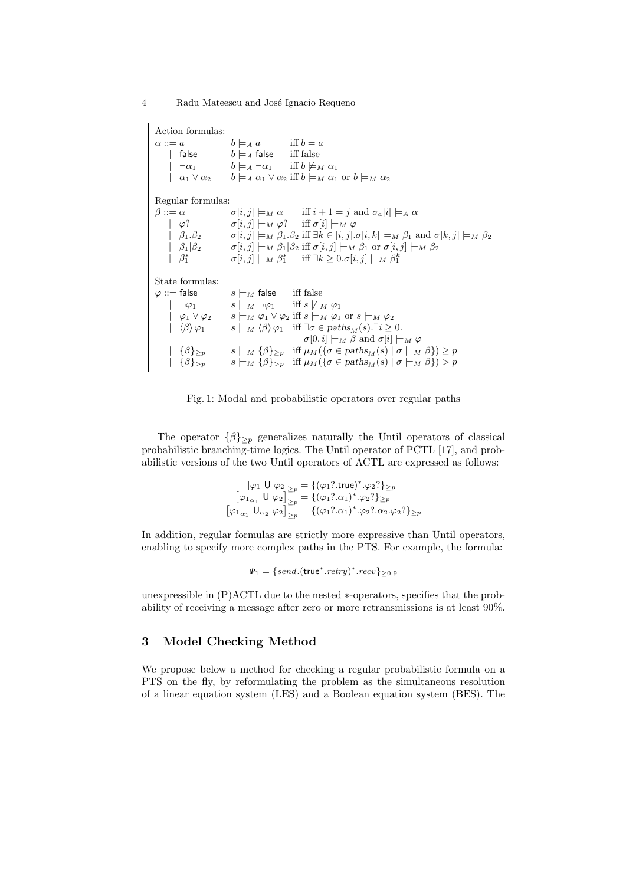| Action formulas:                                  |                                                                                                                                                                                                                                                                                                                                                       |
|---------------------------------------------------|-------------------------------------------------------------------------------------------------------------------------------------------------------------------------------------------------------------------------------------------------------------------------------------------------------------------------------------------------------|
| $\alpha ::= a$ $b \models_A a$ iff $b = a$        |                                                                                                                                                                                                                                                                                                                                                       |
| false $b \models_A$ false iff false               |                                                                                                                                                                                                                                                                                                                                                       |
|                                                   |                                                                                                                                                                                                                                                                                                                                                       |
|                                                   | $\begin{array}{cc}   & \neg \alpha_1 & b \models_A \neg \alpha_1 & \text{iff } b \not\models_M \alpha_1 \\   & \alpha_1 \vee \alpha_2 & b \models_A \alpha_1 \vee \alpha_2 & \text{iff } b \models_M \alpha_1 \text{ or } b \models_M \alpha_2 \end{array}$                                                                                           |
|                                                   |                                                                                                                                                                                                                                                                                                                                                       |
| Regular formulas:                                 |                                                                                                                                                                                                                                                                                                                                                       |
|                                                   | $\beta ::= \alpha$ $\sigma[i, j] \models_M \alpha$ iff $i + 1 = j$ and $\sigma_a[i] \models_A \alpha$                                                                                                                                                                                                                                                 |
|                                                   | $\sigma[i,j] \models_M \varphi$ ? iff $\sigma[i] \models_M \varphi$                                                                                                                                                                                                                                                                                   |
|                                                   |                                                                                                                                                                                                                                                                                                                                                       |
|                                                   | $\begin{array}{ll}\n\beta_1.\beta_2 & \sigma[i,j] \models_M \beta_1.\beta_2 \text{ iff } \exists k \in [i,j].\n\sigma[i,k] \models_M \beta_1 \text{ and } \sigma[k,j] \models_M \beta_2 \\ \beta_1 \beta_2 & \sigma[i,j] \models_M \beta_1 \beta_2 \text{ iff } \sigma[i,j] \models_M \beta_1 \text{ or } \sigma[i,j] \models_M \beta_2\n\end{array}$ |
|                                                   | $ \beta_1^*$ $\sigma[i,j] \models_M \beta_1^*$ iff $\exists k \geq 0.\sigma[i,j] \models_M \beta_1^k$                                                                                                                                                                                                                                                 |
|                                                   |                                                                                                                                                                                                                                                                                                                                                       |
| State formulas:                                   |                                                                                                                                                                                                                                                                                                                                                       |
| $\varphi ::=$ false $s \models_M$ false iff false |                                                                                                                                                                                                                                                                                                                                                       |
|                                                   |                                                                                                                                                                                                                                                                                                                                                       |
|                                                   | $\begin{array}{cc}   & \neg \varphi_1 & s \models_M \neg \varphi_1 & \text{iff } s \not\models_M \varphi_1 \\   & \varphi_1 \vee \varphi_2 & s \models_M \varphi_1 \vee \varphi_2 & \text{iff } s \models_M \varphi_1 \text{ or } s \models_M \varphi_2 \end{array}$                                                                                  |
|                                                   | $ \langle \beta \rangle \varphi_1 \qquad s \models_M \langle \beta \rangle \varphi_1 \quad \text{iff } \exists \sigma \in paths_M(s). \exists i \geq 0.$                                                                                                                                                                                              |
|                                                   | $\sigma[0,i] \models_M \beta$ and $\sigma[i] \models_M \varphi$                                                                                                                                                                                                                                                                                       |
|                                                   |                                                                                                                                                                                                                                                                                                                                                       |
|                                                   | $\left \begin{array}{cc} {\beta} \geq_{p} & s \models_{M} {\{\beta}\}_{\geq p} & \text{if } \mu_M({\{\sigma \in paths_M(s) \mid \sigma \models_M \beta\}) \geq p} \\ {\{\beta}\}_{>p} & s \models_{M} {\{\beta}\}_{>p} & \text{if } \mu_M({\{\sigma \in paths_M(s) \mid \sigma \models_M \beta\}) > p} \end{array}\right.$                            |

Fig. 1: Modal and probabilistic operators over regular paths

The operator  $\{\beta\}_{\geq p}$  generalizes naturally the Until operators of classical probabilistic branching-time logics. The Until operator of PCTL [17], and probabilistic versions of the two Until operators of ACTL are expressed as follows:

> $[\varphi_1 \cup \varphi_2]_{\geq p} = \{(\varphi_1?.\mathsf{true})^*. \varphi_2?\}_{geq p}$  $[\varphi_{1\alpha_1} \cup \varphi_2]_{\geq p}^{-1} = \{(\varphi_1? \alpha_1)^*, \varphi_2? \}_{\geq p}$  $[\varphi_{1_{\alpha_1}} \cup_{\alpha_2} \varphi_2]_{\geq p}^{-1} = \{(\varphi_1? . \alpha_1)^* . \varphi_2? . \alpha_2. \varphi_2? \}_{\geq p}$

In addition, regular formulas are strictly more expressive than Until operators, enabling to specify more complex paths in the PTS. For example, the formula:

 $\Psi_1 = \{send.(\text{true}^*.return)^*.recv\}_{\geq 0.9}$ 

unexpressible in (P)ACTL due to the nested ∗-operators, specifies that the probability of receiving a message after zero or more retransmissions is at least 90%.

# 3 Model Checking Method

We propose below a method for checking a regular probabilistic formula on a PTS on the fly, by reformulating the problem as the simultaneous resolution of a linear equation system (LES) and a Boolean equation system (BES). The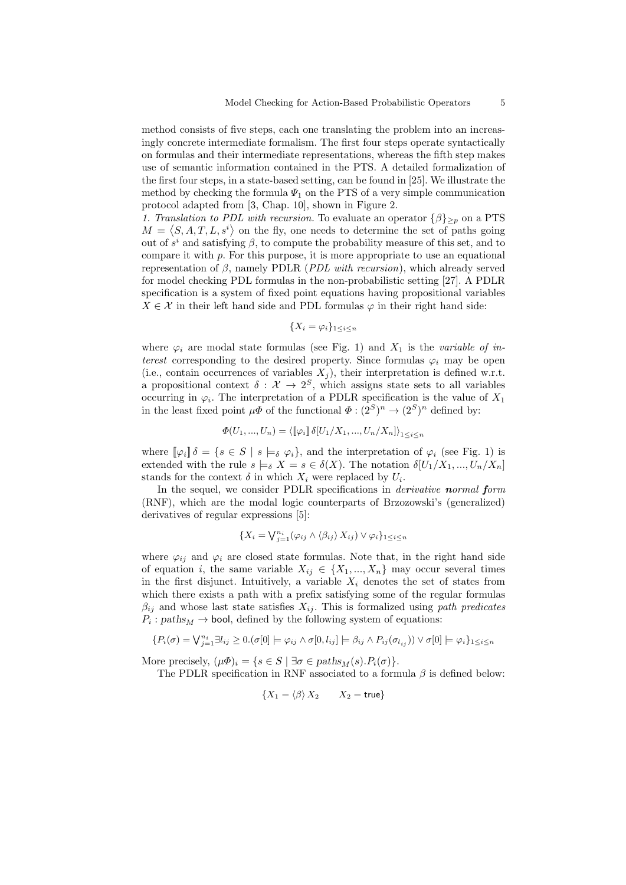method consists of five steps, each one translating the problem into an increasingly concrete intermediate formalism. The first four steps operate syntactically on formulas and their intermediate representations, whereas the fifth step makes use of semantic information contained in the PTS. A detailed formalization of the first four steps, in a state-based setting, can be found in [25]. We illustrate the method by checking the formula  $\Psi_1$  on the PTS of a very simple communication protocol adapted from [3, Chap. 10], shown in Figure 2.

1. Translation to PDL with recursion. To evaluate an operator  $\{\beta\}_{\geq p}$  on a PTS  $M = \langle S, A, T, L, s^i \rangle$  on the fly, one needs to determine the set of paths going out of  $s^i$  and satisfying  $\beta$ , to compute the probability measure of this set, and to compare it with  $p$ . For this purpose, it is more appropriate to use an equational representation of  $\beta$ , namely PDLR (*PDL with recursion*), which already served for model checking PDL formulas in the non-probabilistic setting [27]. A PDLR specification is a system of fixed point equations having propositional variables  $X \in \mathcal{X}$  in their left hand side and PDL formulas  $\varphi$  in their right hand side:

$$
\{X_i = \varphi_i\}_{1 \leq i \leq n}
$$

where  $\varphi_i$  are modal state formulas (see Fig. 1) and  $X_1$  is the variable of interest corresponding to the desired property. Since formulas  $\varphi_i$  may be open (i.e., contain occurrences of variables  $X_j$ ), their interpretation is defined w.r.t. a propositional context  $\delta: \mathcal{X} \to 2^S$ , which assigns state sets to all variables occurring in  $\varphi_i$ . The interpretation of a PDLR specification is the value of  $X_1$ in the least fixed point  $\mu\Phi$  of the functional  $\Phi: (2^S)^n \to (2^S)^n$  defined by:

$$
\Phi(U_1, ..., U_n) = \langle [\![\varphi_i]\!] \, \delta[U_1/X_1, ..., U_n/X_n] \rangle_{1 \leq i \leq n}
$$

where  $[\![\varphi_i]\!] \delta = \{s \in S \mid s \models_{\delta} \varphi_i\}$ , and the interpretation of  $\varphi_i$  (see Fig. 1) is extended with the rule  $s \models_{\delta} X = s \in \delta(X)$ . The notation  $\delta[U_1/X_1, ..., U_n/X_n]$ stands for the context  $\delta$  in which  $X_i$  were replaced by  $U_i$ .

In the sequel, we consider PDLR specifications in *derivative normal form* (RNF), which are the modal logic counterparts of Brzozowski's (generalized) derivatives of regular expressions [5]:

$$
\{X_i = \bigvee_{j=1}^{n_i} (\varphi_{ij} \wedge \langle \beta_{ij} \rangle X_{ij}) \vee \varphi_i\}_{1 \leq i \leq n}
$$

where  $\varphi_{ij}$  and  $\varphi_i$  are closed state formulas. Note that, in the right hand side of equation i, the same variable  $X_{ij} \in \{X_1, ..., X_n\}$  may occur several times in the first disjunct. Intuitively, a variable  $X_i$  denotes the set of states from which there exists a path with a prefix satisfying some of the regular formulas  $\beta_{ij}$  and whose last state satisfies  $X_{ij}$ . This is formalized using path predicates  $P_i: paths_M \to \text{bool}$ , defined by the following system of equations:

$$
\{P_i(\sigma) = \bigvee_{j=1}^{n_i} \exists l_{ij} \geq 0.(\sigma[0] \models \varphi_{ij} \land \sigma[0, l_{ij}] \models \beta_{ij} \land P_{ij}(\sigma_{l_{ij}})) \lor \sigma[0] \models \varphi_i\}_{1 \leq i \leq n}
$$

More precisely,  $(\mu \Phi)_i = \{ s \in S \mid \exists \sigma \in paths_M(s).P_i(\sigma) \}.$ 

The PDLR specification in RNF associated to a formula  $\beta$  is defined below:

$$
\{X_1 = \langle \beta \rangle X_2 \qquad X_2 = \mathsf{true}\}
$$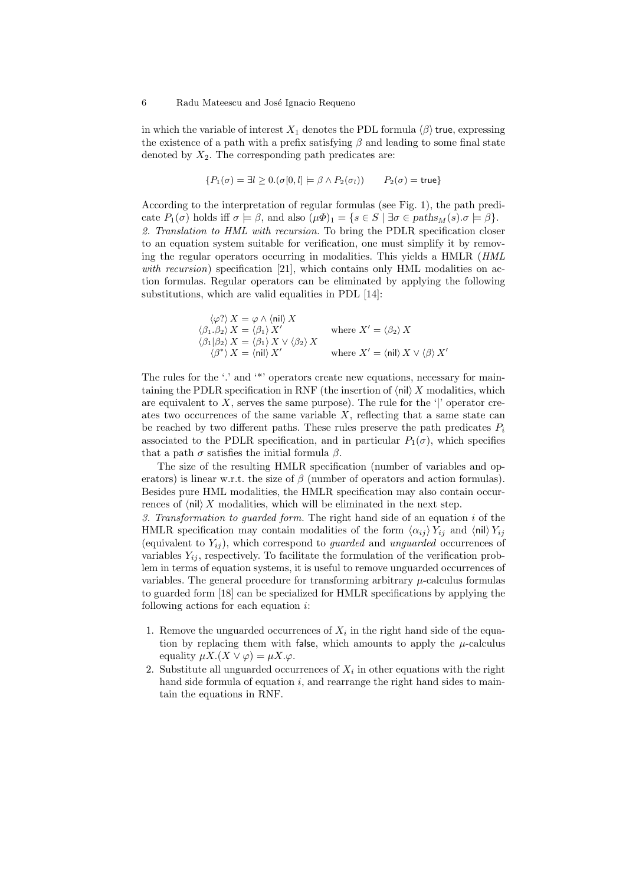in which the variable of interest  $X_1$  denotes the PDL formula  $\langle \beta \rangle$  true, expressing the existence of a path with a prefix satisfying  $\beta$  and leading to some final state denoted by  $X_2$ . The corresponding path predicates are:

$$
\{P_1(\sigma) = \exists l \ge 0.(\sigma[0, l] \models \beta \land P_2(\sigma_l)) \qquad P_2(\sigma) = \text{true}\}
$$

According to the interpretation of regular formulas (see Fig. 1), the path predicate  $P_1(\sigma)$  holds iff  $\sigma \models \beta$ , and also  $(\mu \Phi)_1 = \{ s \in S \mid \exists \sigma \in paths_M(s) . \sigma \models \beta \}.$ 2. Translation to HML with recursion. To bring the PDLR specification closer to an equation system suitable for verification, one must simplify it by removing the regular operators occurring in modalities. This yields a HMLR (HML with recursion) specification [21], which contains only HML modalities on action formulas. Regular operators can be eliminated by applying the following substitutions, which are valid equalities in PDL [14]:

$$
\langle \varphi? \rangle X = \varphi \wedge \langle \text{nil} \rangle X
$$
  

$$
\langle \beta_1, \beta_2 \rangle X = \langle \beta_1 \rangle X'
$$
 where  $X' = \langle \beta_2 \rangle X$   

$$
\langle \beta_1 | \beta_2 \rangle X = \langle \beta_1 \rangle X \vee \langle \beta_2 \rangle X
$$
  

$$
\langle \beta^* \rangle X = \langle \text{nil} \rangle X'
$$
 where  $X' = \langle \text{nil} \rangle X \vee \langle \beta \rangle X'$ 

The rules for the '.' and '\*' operators create new equations, necessary for maintaining the PDLR specification in RNF (the insertion of  $\langle \text{nil} \rangle X$  modalities, which are equivalent to X, serves the same purpose). The rule for the  $\lq$  operator creates two occurrences of the same variable  $X$ , reflecting that a same state can be reached by two different paths. These rules preserve the path predicates  $P_i$ associated to the PDLR specification, and in particular  $P_1(\sigma)$ , which specifies that a path  $\sigma$  satisfies the initial formula  $\beta$ .

The size of the resulting HMLR specification (number of variables and operators) is linear w.r.t. the size of  $\beta$  (number of operators and action formulas). Besides pure HML modalities, the HMLR specification may also contain occurrences of  $\langle \text{nil} \rangle X$  modalities, which will be eliminated in the next step.

3. Transformation to guarded form. The right hand side of an equation i of the HMLR specification may contain modalities of the form  $\langle \alpha_{ij} \rangle Y_{ij}$  and  $\langle \text{nil} \rangle Y_{ij}$ (equivalent to  $Y_{ij}$ ), which correspond to *guarded* and *unguarded* occurrences of variables  $Y_{ij}$ , respectively. To facilitate the formulation of the verification problem in terms of equation systems, it is useful to remove unguarded occurrences of variables. The general procedure for transforming arbitrary  $\mu$ -calculus formulas to guarded form [18] can be specialized for HMLR specifications by applying the following actions for each equation  $i$ :

- 1. Remove the unguarded occurrences of  $X_i$  in the right hand side of the equation by replacing them with false, which amounts to apply the  $\mu$ -calculus equality  $\mu X.(X \vee \varphi) = \mu X.\varphi$ .
- 2. Substitute all unguarded occurrences of  $X_i$  in other equations with the right hand side formula of equation  $i$ , and rearrange the right hand sides to maintain the equations in RNF.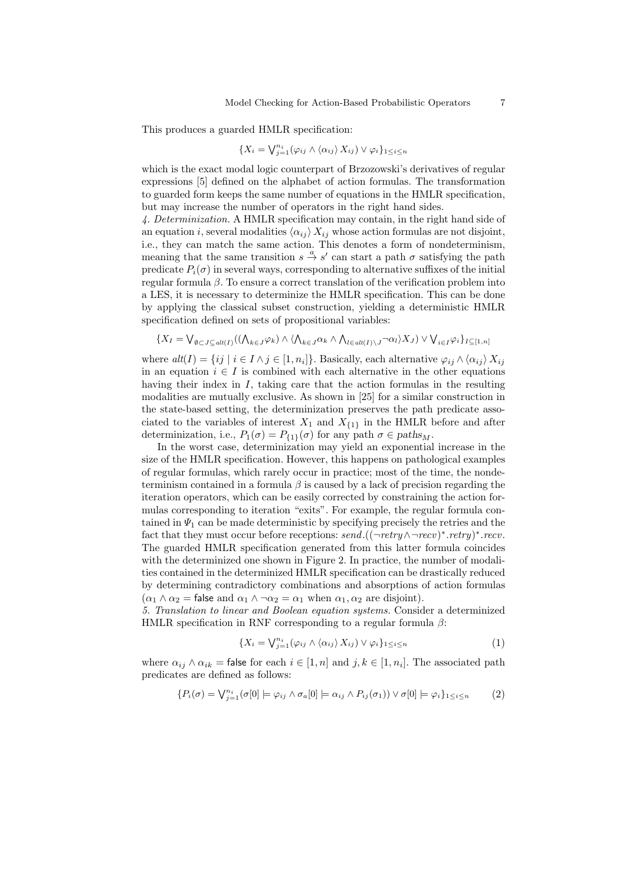This produces a guarded HMLR specification:

$$
\{X_i = \bigvee_{j=1}^{n_i} (\varphi_{ij} \wedge \langle \alpha_{ij} \rangle X_{ij}) \vee \varphi_i\}_{1 \leq i \leq n}
$$

which is the exact modal logic counterpart of Brzozowski's derivatives of regular expressions [5] defined on the alphabet of action formulas. The transformation to guarded form keeps the same number of equations in the HMLR specification, but may increase the number of operators in the right hand sides.

4. Determinization. A HMLR specification may contain, in the right hand side of an equation i, several modalities  $\langle \alpha_{ij} \rangle X_{ij}$  whose action formulas are not disjoint, i.e., they can match the same action. This denotes a form of nondeterminism, meaning that the same transition  $s \stackrel{a}{\rightarrow} s'$  can start a path  $\sigma$  satisfying the path predicate  $P_i(\sigma)$  in several ways, corresponding to alternative suffixes of the initial regular formula β. To ensure a correct translation of the verification problem into a LES, it is necessary to determinize the HMLR specification. This can be done by applying the classical subset construction, yielding a deterministic HMLR specification defined on sets of propositional variables:

$$
\{X_I = \bigvee_{\emptyset \subset J \subseteq alt(I)} ((\bigwedge_{k \in J} \varphi_k) \land \langle \bigwedge_{k \in J} \alpha_k \land \bigwedge_{l \in alt(I) \setminus J} \neg \alpha_l \rangle X_J) \lor \bigvee_{i \in I} \varphi_i\}_{I \subseteq [1,n]}
$$

where  $alt(I) = \{ij \mid i \in I \land j \in [1, n_i]\}$ . Basically, each alternative  $\varphi_{ij} \land \langle \alpha_{ij} \rangle X_{ij}$ in an equation  $i \in I$  is combined with each alternative in the other equations having their index in I, taking care that the action formulas in the resulting modalities are mutually exclusive. As shown in [25] for a similar construction in the state-based setting, the determinization preserves the path predicate associated to the variables of interest  $X_1$  and  $X_{\{1\}}$  in the HMLR before and after determinization, i.e.,  $P_1(\sigma) = P_{\{1\}}(\sigma)$  for any path  $\sigma \in paths_M$ .

In the worst case, determinization may yield an exponential increase in the size of the HMLR specification. However, this happens on pathological examples of regular formulas, which rarely occur in practice; most of the time, the nondeterminism contained in a formula  $\beta$  is caused by a lack of precision regarding the iteration operators, which can be easily corrected by constraining the action formulas corresponding to iteration "exits". For example, the regular formula contained in  $\Psi_1$  can be made deterministic by specifying precisely the retries and the fact that they must occur before receptions:  $send.((\neg retry \land \neg recv)^*.return$ The guarded HMLR specification generated from this latter formula coincides with the determinized one shown in Figure 2. In practice, the number of modalities contained in the determinized HMLR specification can be drastically reduced by determining contradictory combinations and absorptions of action formulas  $(\alpha_1 \wedge \alpha_2 = \text{false} \text{ and } \alpha_1 \wedge \neg \alpha_2 = \alpha_1 \text{ when } \alpha_1, \alpha_2 \text{ are disjoint}).$ 

5. Translation to linear and Boolean equation systems. Consider a determinized HMLR specification in RNF corresponding to a regular formula  $\beta$ :

$$
\{X_i = \bigvee_{j=1}^{n_i} (\varphi_{ij} \wedge \langle \alpha_{ij} \rangle X_{ij}) \vee \varphi_i\}_{1 \leq i \leq n}
$$
\n
$$
(1)
$$

where  $\alpha_{ij} \wedge \alpha_{ik} = \text{false}$  for each  $i \in [1, n]$  and  $j, k \in [1, n_i]$ . The associated path predicates are defined as follows:

$$
\{P_i(\sigma) = \bigvee_{j=1}^{n_i} (\sigma[0] \models \varphi_{ij} \land \sigma_a[0] \models \alpha_{ij} \land P_{ij}(\sigma_1)) \lor \sigma[0] \models \varphi_i\}_{1 \leq i \leq n}
$$
 (2)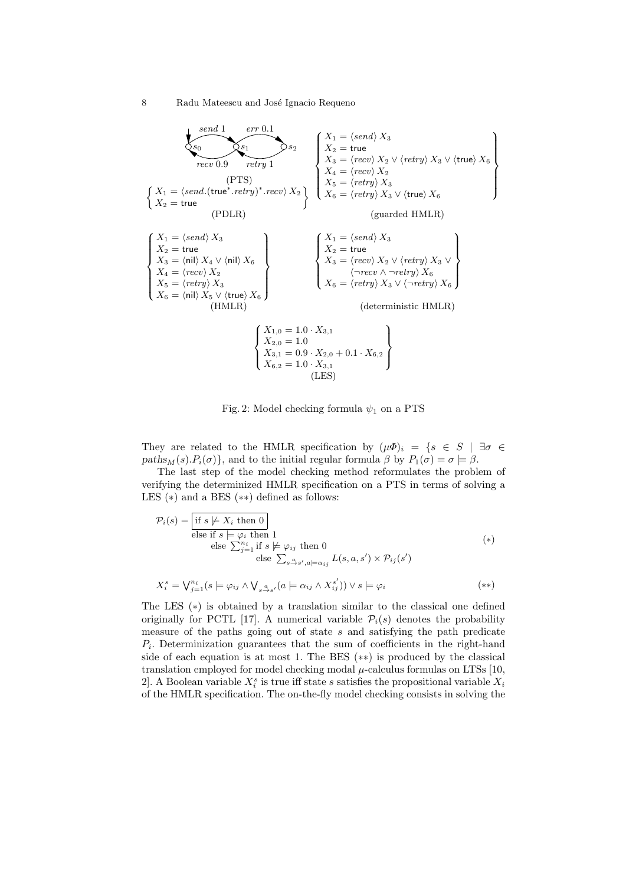$$
\begin{pmatrix}\n\text{Sond 1} & \text{error 0.1} \\
\text{Sso} & \text{Wey 1} \\
\text{recv 0.9} & \text{retry 1} \\
\text{CFTS} & \text{X}_2 = \text{true} \\
\text{CFTS} & \text{X}_3 = \langle \text{recv} \rangle X_2 \vee \langle \text{retry} \rangle X_3 \vee \langle \text{true} \rangle X_6 \\
X_2 = \text{true} & \text{(PDLR)} \\
\text{Sone} & \text{X}_3 = \langle \text{refry} \rangle X_3 \\
\text{X}_2 = \text{true} & \text{(PDLR)} \\
\text{Sone} & \text{X}_3 = \langle \text{refry} \rangle X_3 \\
\text{X}_4 = \langle \text{recv} \rangle X_3 \\
\text{X}_5 = \langle \text{retry} \rangle X_3 \vee \langle \text{true} \rangle X_6 \\
\text{X}_6 = \langle \text{init} \rangle X_4 \vee \langle \text{nil} \rangle X_6 \\
\text{X}_7 = \text{true} & \text{Y}_2 = \text{true} \\
\text{X}_3 = \langle \text{nil} \rangle X_4 \vee \langle \text{nil} \rangle X_6 \\
\text{X}_4 = \langle \text{recv} \rangle X_3 \\
\text{X}_5 = \langle \text{retry} \rangle X_3 \\
\text{X}_6 = \langle \text{nil} \rangle X_5 \vee \langle \text{true} \rangle X_6 \\
\text{X}_7 = \text{true} & \text{X}_7 = \langle \text{recv} \rangle X_2 \vee \langle \text{retry} \rangle X_3 \vee \langle \text{tertry} \rangle X_4 \\
\text{X}_8 = \langle \text{retry} \rangle X_8 \\
\text{X}_9 = \langle \text{retry} \rangle X_3 \vee \langle \text{--} \text{retry} \rangle X_6 \\
\text{X}_1 = \langle \text{terry} \rangle X_3 \vee \langle \text{--} \text{retry} \rangle X_6 \\
\text{X}_2 = \langle \text{retry} \rangle X_3 \vee \langle \text{--} \text{retry} \rangle X_6 \\
\text{HMLR} & \text{(deterministic HMLR)} \\
\text{Sone} & \text{X}_3 = \langle \text{--} \rangle X_3, \text{--} \rangle \\
\text{
$$

Fig. 2: Model checking formula  $\psi_1$  on a PTS

They are related to the HMLR specification by  $(\mu \Phi)_i = \{s \in S \mid \exists \sigma \in S \mid \exists \sigma \in S \}$  $paths_M(s) \cdot P_i(\sigma)$ , and to the initial regular formula  $\beta$  by  $P_1(\sigma) = \sigma \models \beta$ .

The last step of the model checking method reformulates the problem of verifying the determinized HMLR specification on a PTS in terms of solving a LES  $(*)$  and a BES  $(**)$  defined as follows:

$$
\mathcal{P}_i(s) = \left| \begin{array}{l} \text{if } s \neq X_i \text{ then } 0 \\ \text{else if } s = \varphi_i \text{ then } 1 \\ \text{else } \sum_{j=1}^{n_i} \text{if } s \neq \varphi_{ij} \text{ then } 0 \\ \text{else } \sum_{s \stackrel{a}{\rightarrow} s', a = \alpha_{ij}} L(s, a, s') \times \mathcal{P}_{ij}(s') \end{array} \right(*)
$$
  

$$
X_i^s = \bigvee_{j=1}^{n_i} (s = \varphi_{ij} \land \bigvee_{s \stackrel{a}{\rightarrow} s'} (a = \alpha_{ij} \land X_{ij}^{s'}) ) \lor s = \varphi_i
$$
(\*\*)

The LES (∗) is obtained by a translation similar to the classical one defined originally for PCTL [17]. A numerical variable  $P_i(s)$  denotes the probability measure of the paths going out of state s and satisfying the path predicate  $P_i$ . Determinization guarantees that the sum of coefficients in the right-hand side of each equation is at most 1. The BES  $(**)$  is produced by the classical translation employed for model checking modal  $\mu$ -calculus formulas on LTSs [10, 2]. A Boolean variable  $X_i^s$  is true iff state s satisfies the propositional variable  $X_i$ of the HMLR specification. The on-the-fly model checking consists in solving the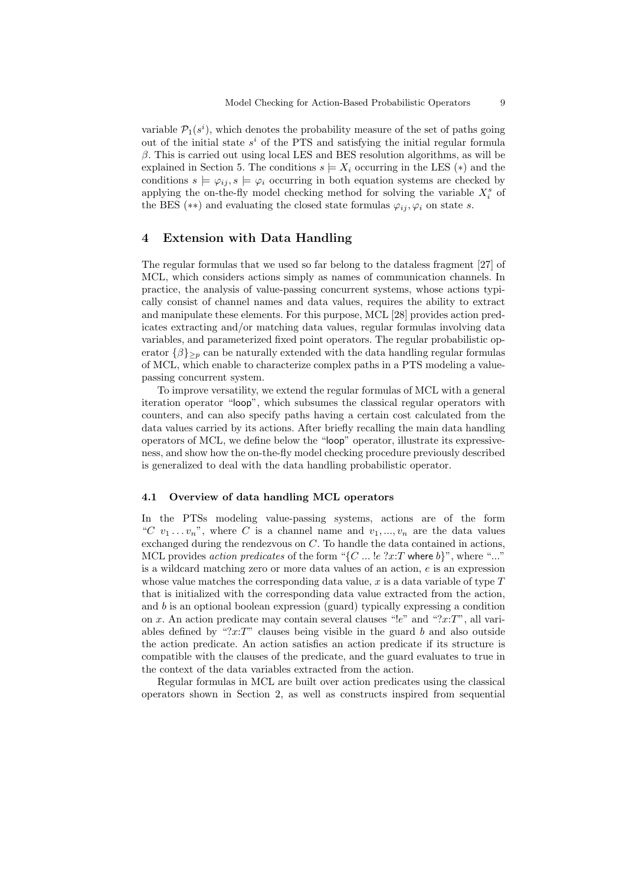variable  $\mathcal{P}_1(s^i)$ , which denotes the probability measure of the set of paths going out of the initial state  $s^i$  of the PTS and satisfying the initial regular formula  $\beta$ . This is carried out using local LES and BES resolution algorithms, as will be explained in Section 5. The conditions  $s \models X_i$  occurring in the LES (\*) and the conditions  $s \models \varphi_{ij}, s \models \varphi_i$  occurring in both equation systems are checked by applying the on-the-fly model checking method for solving the variable  $X_i^s$  of the BES (\*\*) and evaluating the closed state formulas  $\varphi_{ij}, \varphi_i$  on state s.

# 4 Extension with Data Handling

The regular formulas that we used so far belong to the dataless fragment [27] of MCL, which considers actions simply as names of communication channels. In practice, the analysis of value-passing concurrent systems, whose actions typically consist of channel names and data values, requires the ability to extract and manipulate these elements. For this purpose, MCL [28] provides action predicates extracting and/or matching data values, regular formulas involving data variables, and parameterized fixed point operators. The regular probabilistic operator  $\{\beta\}_{\geq p}$  can be naturally extended with the data handling regular formulas of MCL, which enable to characterize complex paths in a PTS modeling a valuepassing concurrent system.

To improve versatility, we extend the regular formulas of MCL with a general iteration operator "loop", which subsumes the classical regular operators with counters, and can also specify paths having a certain cost calculated from the data values carried by its actions. After briefly recalling the main data handling operators of MCL, we define below the "loop" operator, illustrate its expressiveness, and show how the on-the-fly model checking procedure previously described is generalized to deal with the data handling probabilistic operator.

#### 4.1 Overview of data handling MCL operators

In the PTSs modeling value-passing systems, actions are of the form "C  $v_1 \ldots v_n$ ", where C is a channel name and  $v_1, \ldots, v_n$  are the data values exchanged during the rendezvous on C. To handle the data contained in actions, MCL provides action predicates of the form "{ $C \ldots$  !e ?x:T where  $b$ }", where "..." is a wildcard matching zero or more data values of an action, e is an expression whose value matches the corresponding data value,  $x$  is a data variable of type  $T$ that is initialized with the corresponding data value extracted from the action, and  $b$  is an optional boolean expression (guard) typically expressing a condition on x. An action predicate may contain several clauses " $'e$ " and "?x:T", all variables defined by " $2x:T$ " clauses being visible in the guard b and also outside the action predicate. An action satisfies an action predicate if its structure is compatible with the clauses of the predicate, and the guard evaluates to true in the context of the data variables extracted from the action.

Regular formulas in MCL are built over action predicates using the classical operators shown in Section 2, as well as constructs inspired from sequential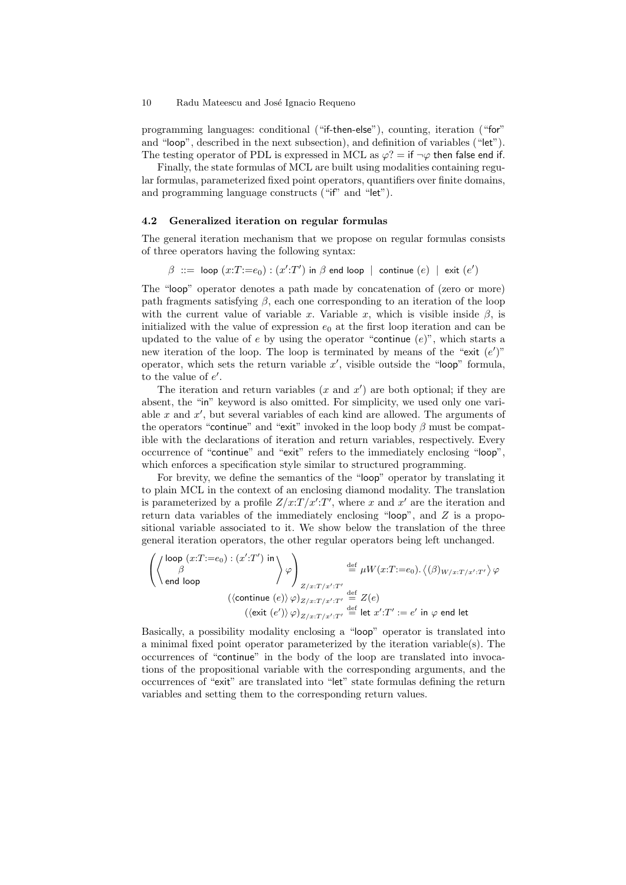programming languages: conditional ("if-then-else"), counting, iteration ("for" and "loop", described in the next subsection), and definition of variables ("let"). The testing operator of PDL is expressed in MCL as  $\varphi$ ? = if  $\neg \varphi$  then false end if.

Finally, the state formulas of MCL are built using modalities containing regular formulas, parameterized fixed point operators, quantifiers over finite domains, and programming language constructs ("if" and "let").

#### 4.2 Generalized iteration on regular formulas

The general iteration mechanism that we propose on regular formulas consists of three operators having the following syntax:

 $\beta$  ::= loop  $(x{:}T{:=}e_0):(x'{:}T')$  in  $\beta$  end loop  $\; \mid \;$  continue  $(e) \; \mid \;$  exit  $(e')$ 

The "loop" operator denotes a path made by concatenation of (zero or more) path fragments satisfying  $\beta$ , each one corresponding to an iteration of the loop with the current value of variable x. Variable x, which is visible inside  $\beta$ , is initialized with the value of expression  $e_0$  at the first loop iteration and can be updated to the value of e by using the operator "continue  $(e)$ ", which starts a new iteration of the loop. The loop is terminated by means of the "exit  $(e')$ " operator, which sets the return variable  $x'$ , visible outside the "loop" formula, to the value of  $e'$ .

The iteration and return variables  $(x \text{ and } x')$  are both optional; if they are absent, the "in" keyword is also omitted. For simplicity, we used only one variable  $x$  and  $x'$ , but several variables of each kind are allowed. The arguments of the operators "continue" and "exit" invoked in the loop body  $\beta$  must be compatible with the declarations of iteration and return variables, respectively. Every occurrence of "continue" and "exit" refers to the immediately enclosing "loop", which enforces a specification style similar to structured programming.

For brevity, we define the semantics of the "loop" operator by translating it to plain MCL in the context of an enclosing diamond modality. The translation is parameterized by a profile  $Z/x:T/x':T'$ , where x and x' are the iteration and return data variables of the immediately enclosing "loop", and  $Z$  is a propositional variable associated to it. We show below the translation of the three general iteration operators, the other regular operators being left unchanged.

$$
\begin{array}{l} \left(\left\langle\begin{array}{c} \text{loop }(x:T:=e_0):(x':T')\text{ in}\\ \beta \\ \text{end loop}\end{array}\right\rangle\varphi\right)_{Z/x:T/x':T'} \stackrel{\text{def}}{=} \mu W(x:T:=e_0).\left\langle(\beta)_{W/x:T/x':T'}\right\rangle\varphi\\ \text{(continue }(e))\,\varphi)_{Z/x:T/x':T'} \stackrel{\text{def}}{=} Z(e)\\ \text{(
$$

Basically, a possibility modality enclosing a "loop" operator is translated into a minimal fixed point operator parameterized by the iteration variable(s). The occurrences of "continue" in the body of the loop are translated into invocations of the propositional variable with the corresponding arguments, and the occurrences of "exit" are translated into "let" state formulas defining the return variables and setting them to the corresponding return values.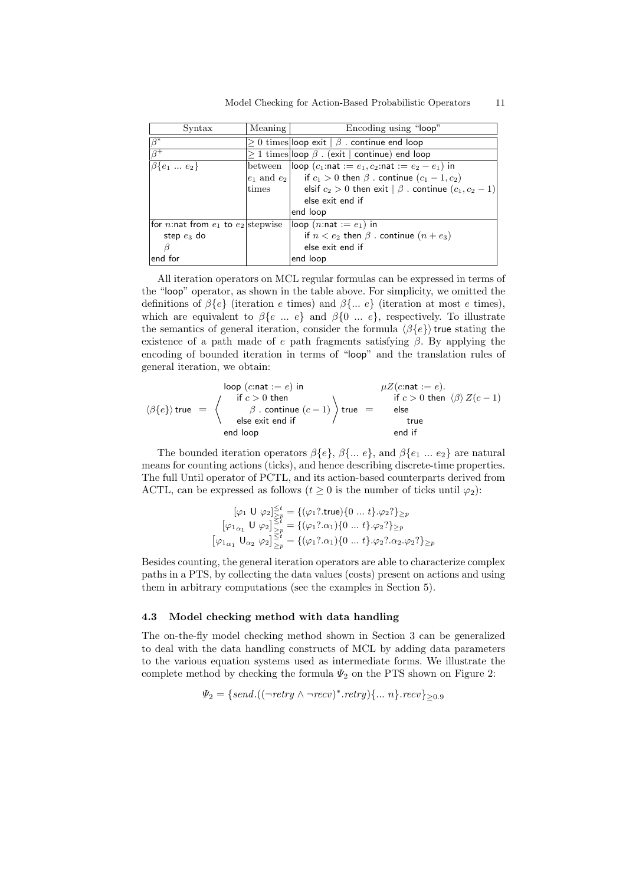| Model Checking for Action-Based Probabilistic Operators |  |  |
|---------------------------------------------------------|--|--|
|---------------------------------------------------------|--|--|

| Syntax                                         | Meaning | Encoding using "loop"                                                        |
|------------------------------------------------|---------|------------------------------------------------------------------------------|
| $A^*$                                          |         | $\geq 0$ times loop exit $\beta$ . continue end loop                         |
| $\overline{B}$                                 |         | $\geq 1$ times loop $\beta$ . (exit   continue) end loop                     |
| $\beta\{e_1  e_2\}$                            | between | $ $ loop $(c_1$ :nat := $e_1, c_2$ :nat := $e_2 - e_1$ ) in                  |
|                                                |         | $ e_1 \text{ and } e_2 $ if $c_1 > 0$ then $\beta$ continue $(c_1 - 1, c_2)$ |
|                                                | times   | elsif $c_2 > 0$ then exit $ \beta$ . continue $(c_1, c_2 - 1) $              |
|                                                |         | else exit end if                                                             |
|                                                |         | end loop                                                                     |
| for <i>n</i> :nat from $e_1$ to $e_2$ stepwise |         | loop $(n:\textsf{nat} := e_1)$ in                                            |
| step $e_3$ do                                  |         | if $n < e_2$ then $\beta$ continue $(n+e_3)$                                 |
|                                                |         | else exit end if                                                             |
| end for                                        |         | end loop                                                                     |

All iteration operators on MCL regular formulas can be expressed in terms of the "loop" operator, as shown in the table above. For simplicity, we omitted the definitions of  $\beta\{e\}$  (iteration e times) and  $\beta\{\ldots e\}$  (iteration at most e times), which are equivalent to  $\beta\{e \dots e\}$  and  $\beta\{0 \dots e\}$ , respectively. To illustrate the semantics of general iteration, consider the formula  $\langle \beta \{e\} \rangle$  true stating the existence of a path made of e path fragments satisfying  $\beta$ . By applying the encoding of bounded iteration in terms of "loop" and the translation rules of general iteration, we obtain:

$$
\langle \beta \{e\} \rangle \text{ true } = \left\langle \begin{array}{cl} \text{loop } (c:\text{nat}:=e) \text{ in } & \mu Z(c:\text{nat}:=e). \\ \text{if } c > 0 \text{ then } & \text{if } c > 0 \text{ then } \langle \beta \rangle Z(c-1) \\ \text{else } \text{exit } \text{end if } & \text{true } = \begin{array}{cl} \text{if } c > 0 \text{ then } \langle \beta \rangle Z(c-1) \\ \text{else } & \text{true } \\ \text{end loop } & \text{end if } \end{array} \right.
$$

The bounded iteration operators  $\beta\{e\}, \beta\{\ldots e\}$ , and  $\beta\{e_1 \ldots e_2\}$  are natural means for counting actions (ticks), and hence describing discrete-time properties. The full Until operator of PCTL, and its action-based counterparts derived from ACTL, can be expressed as follows ( $t \geq 0$  is the number of ticks until  $\varphi_2$ ):

$$
[\varphi_1 \cup \varphi_2]_{\geq p}^{\leq t} = \{(\varphi_1?.\mathsf{true})\{0 \dots t\}.\varphi_2?\}_{\geq p}
$$

$$
[\varphi_{1_{\alpha_1}} \cup \varphi_2]_{\geq p}^{\leq t} = \{(\varphi_1?.\alpha_1)\{0 \dots t\}.\varphi_2?\}_{\geq p}
$$

$$
[\varphi_{1_{\alpha_1}} \cup_{\alpha_2} \varphi_2]_{\geq p}^{\leq t} = \{(\varphi_1?.\alpha_1)\{0 \dots t\}.\varphi_2?.\alpha_2.\varphi_2?\}_{\geq p}
$$

Besides counting, the general iteration operators are able to characterize complex paths in a PTS, by collecting the data values (costs) present on actions and using them in arbitrary computations (see the examples in Section 5).

# 4.3 Model checking method with data handling

The on-the-fly model checking method shown in Section 3 can be generalized to deal with the data handling constructs of MCL by adding data parameters to the various equation systems used as intermediate forms. We illustrate the complete method by checking the formula  $\Psi_2$  on the PTS shown on Figure 2:

$$
\Psi_2 = \{send.((\neg\text{retry} \land \neg\text{rec}v)^*.retry)\{... n\}.recv\}_{\geq 0.9}
$$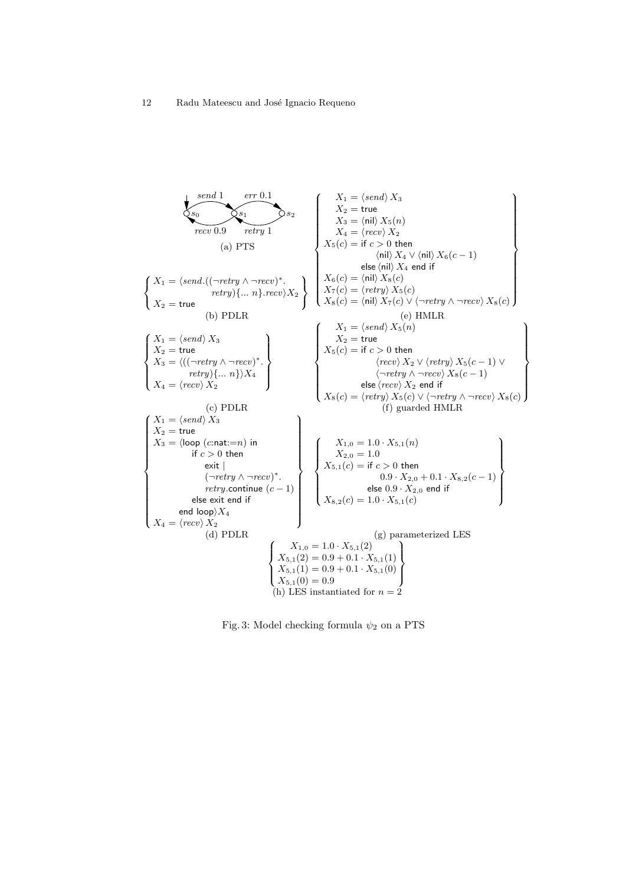$$
\begin{array}{ll}\n\left\{\n\begin{array}{c}\n\begin{array}{c}\n\begin{array}{c}\n\begin{array}{c}\n\begin{array}{c}\n\begin{array}{c}\n\begin{array}{c}\n\begin{array}{c}\n\begin{array}{c}\n\begin{array}{c}\n\begin{array}{c}\n\begin{array}{c}\n\begin{array}{c}\n\begin{array}{c}\n\begin{array}{c}\n\begin{array}{c}\n\begin{array}{c}\n\begin{array}{c}\n\begin{array}{c}\n\begin{array}{c}\n\begin{array}{c}\n\begin{array}{c}\n\begin{array}{c}\n\begin{array}{c}\n\begin{array}{c}\n\begin{array}{c}\n\begin{array}{c}\n\begin{array}{c}\n\begin{array}{c}\n\begin{array}{c}\n\begin{array}{c}\n\begin{array}{c}\n\begin{array}{c}\n\begin{array}{c}\n\begin{array}{c}\n\begin{array}{c}\n\begin{array}{c}\n\begin{array}{c}\n\begin{array}{c}\n\begin{array}{c}\n\begin{array}{c}\n\end{array}\n\end{array}\n\end{array}\n\end{array}\n\end{array}\n\end{array}\n\end{array}\n\end{array}\n\end{array}\n\end{array}\n\end{array}\n\end{array}\n\end{array}\n\end{array}\n\end{array}\n\end{array}\n\end{array}\n\end{array}\n\end{array}\n\end{array}\n\end{array}\n\left\{\n\begin{array}{c}\n\begin{array}{c}\n\begin{array}{c}\n\begin{array}{c}\n\begin{array}{c}\n\begin{array}{c}\n\begin{array}{c}\n\begin{array}{c}\n\begin{array}{c}\n\begin{array}{c}\n\begin{array}{c}\n\begin{array}{c}\n\begin{array}{c}\n\begin{array}{c}\n\begin{array}{c}\n\begin{array}{c}\n\begin{array}{c}\n\begin{array}{c}\n\begin{array}{c}\n\begin{array}{c}\n\begin{array}{c}\n\begin{array}{c}\n\begin{array}{c}\n\begin{array}{c}\n\begin{array}{c}\n\begin{array}{c}\n\begin{array}{c}\n\begin{array}{c}\n\begin{array}{c}\n\begin{array}{c}\n\begin{array}{c}\n\begin{array}{c}\n\begin{array}{c}\n\begin{array}{c}\n\begin{array}{c}\n\begin{array}{c}
$$

Fig. 3: Model checking formula  $\psi_2$  on a PTS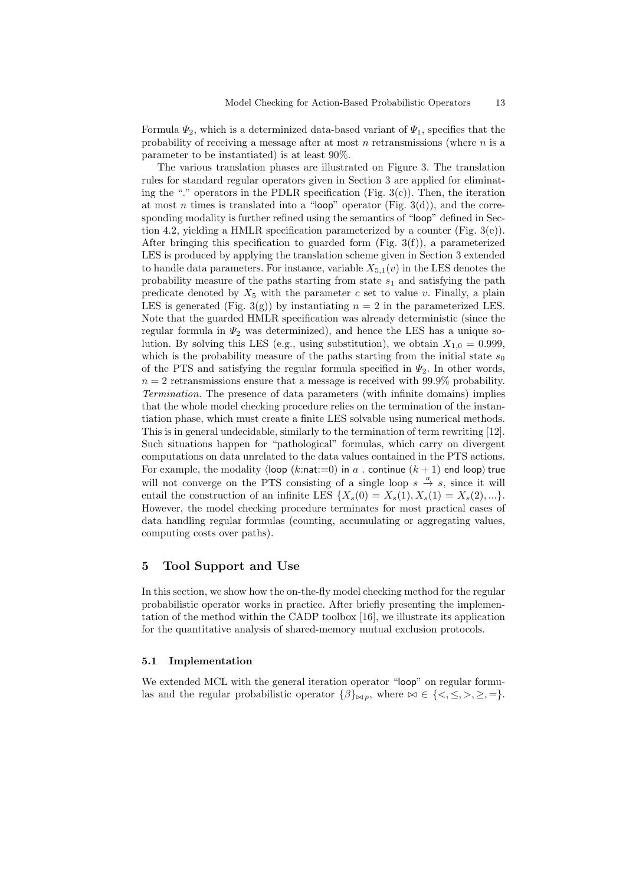Formula  $\Psi_2$ , which is a determinized data-based variant of  $\Psi_1$ , specifies that the probability of receiving a message after at most  $n$  retransmissions (where  $n$  is a parameter to be instantiated) is at least 90%.

The various translation phases are illustrated on Figure 3. The translation rules for standard regular operators given in Section 3 are applied for eliminating the "." operators in the PDLR specification (Fig.  $3(c)$ ). Then, the iteration at most n times is translated into a "loop" operator (Fig. 3(d)), and the corresponding modality is further refined using the semantics of "loop" defined in Section 4.2, yielding a HMLR specification parameterized by a counter (Fig.  $3(e)$ ). After bringing this specification to guarded form (Fig. 3(f)), a parameterized LES is produced by applying the translation scheme given in Section 3 extended to handle data parameters. For instance, variable  $X_{5,1}(v)$  in the LES denotes the probability measure of the paths starting from state  $s_1$  and satisfying the path predicate denoted by  $X_5$  with the parameter c set to value v. Finally, a plain LES is generated (Fig. 3(g)) by instantiating  $n = 2$  in the parameterized LES. Note that the guarded HMLR specification was already deterministic (since the regular formula in  $\Psi_2$  was determinized), and hence the LES has a unique solution. By solving this LES (e.g., using substitution), we obtain  $X_{1,0} = 0.999$ . which is the probability measure of the paths starting from the initial state  $s_0$ of the PTS and satisfying the regular formula specified in  $\Psi_2$ . In other words,  $n = 2$  retransmissions ensure that a message is received with 99.9% probability. Termination. The presence of data parameters (with infinite domains) implies that the whole model checking procedure relies on the termination of the instantiation phase, which must create a finite LES solvable using numerical methods. This is in general undecidable, similarly to the termination of term rewriting [12]. Such situations happen for "pathological" formulas, which carry on divergent computations on data unrelated to the data values contained in the PTS actions. For example, the modality  $\langle \text{loop } (k:\text{nat:=0}) \text{ in } a$ . continue  $(k+1)$  end loop) true will not converge on the PTS consisting of a single loop  $s \stackrel{a}{\rightarrow} s$ , since it will entail the construction of an infinite LES  $\{X_s(0) = X_s(1), X_s(1) = X_s(2), ...\}$ . However, the model checking procedure terminates for most practical cases of data handling regular formulas (counting, accumulating or aggregating values, computing costs over paths).

# 5 Tool Support and Use

In this section, we show how the on-the-fly model checking method for the regular probabilistic operator works in practice. After briefly presenting the implementation of the method within the CADP toolbox [16], we illustrate its application for the quantitative analysis of shared-memory mutual exclusion protocols.

## 5.1 Implementation

We extended MCL with the general iteration operator "loop" on regular formulas and the regular probabilistic operator  $\{\beta\}_{\bowtie p}$ , where  $\bowtie \in \{\langle \leq, \leq, \geq, =\}.$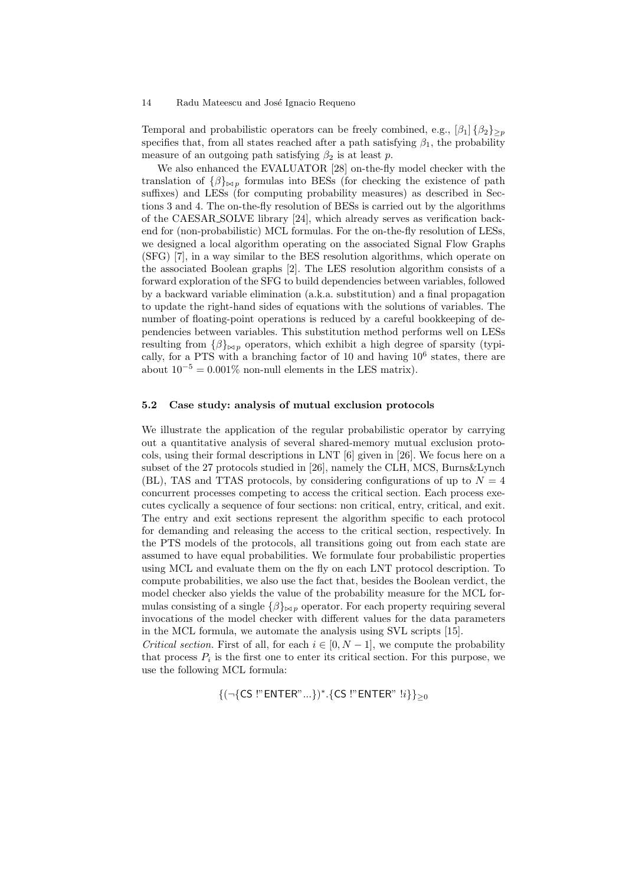Temporal and probabilistic operators can be freely combined, e.g.,  $[\beta_1] {\beta_2}_{\geq p}$ specifies that, from all states reached after a path satisfying  $\beta_1$ , the probability measure of an outgoing path satisfying  $\beta_2$  is at least p.

We also enhanced the EVALUATOR [28] on-the-fly model checker with the translation of  $\{\beta\}_{\bowtie p}$  formulas into BESs (for checking the existence of path suffixes) and LESs (for computing probability measures) as described in Sections 3 and 4. The on-the-fly resolution of BESs is carried out by the algorithms of the CAESAR SOLVE library [24], which already serves as verification backend for (non-probabilistic) MCL formulas. For the on-the-fly resolution of LESs, we designed a local algorithm operating on the associated Signal Flow Graphs (SFG) [7], in a way similar to the BES resolution algorithms, which operate on the associated Boolean graphs [2]. The LES resolution algorithm consists of a forward exploration of the SFG to build dependencies between variables, followed by a backward variable elimination (a.k.a. substitution) and a final propagation to update the right-hand sides of equations with the solutions of variables. The number of floating-point operations is reduced by a careful bookkeeping of dependencies between variables. This substitution method performs well on LESs resulting from  $\{\beta\}_{\bowtie n}$  operators, which exhibit a high degree of sparsity (typically, for a PTS with a branching factor of  $10$  and having  $10^6$  states, there are about  $10^{-5} = 0.001\%$  non-null elements in the LES matrix).

#### 5.2 Case study: analysis of mutual exclusion protocols

We illustrate the application of the regular probabilistic operator by carrying out a quantitative analysis of several shared-memory mutual exclusion protocols, using their formal descriptions in LNT [6] given in [26]. We focus here on a subset of the 27 protocols studied in [26], namely the CLH, MCS, Burns&Lynch (BL), TAS and TTAS protocols, by considering configurations of up to  $N = 4$ concurrent processes competing to access the critical section. Each process executes cyclically a sequence of four sections: non critical, entry, critical, and exit. The entry and exit sections represent the algorithm specific to each protocol for demanding and releasing the access to the critical section, respectively. In the PTS models of the protocols, all transitions going out from each state are assumed to have equal probabilities. We formulate four probabilistic properties using MCL and evaluate them on the fly on each LNT protocol description. To compute probabilities, we also use the fact that, besides the Boolean verdict, the model checker also yields the value of the probability measure for the MCL formulas consisting of a single  $\{\beta\}_{\bowtie p}$  operator. For each property requiring several invocations of the model checker with different values for the data parameters in the MCL formula, we automate the analysis using SVL scripts [15].

*Critical section.* First of all, for each  $i \in [0, N - 1]$ , we compute the probability that process  $P_i$  is the first one to enter its critical section. For this purpose, we use the following MCL formula:

$$
\{(\neg\{ \text{CS}\,!\text{ "ENTER"}...\})^*.\{\text{CS}\,!\text{ "ENTER" }!\}\}_{\geq 0}
$$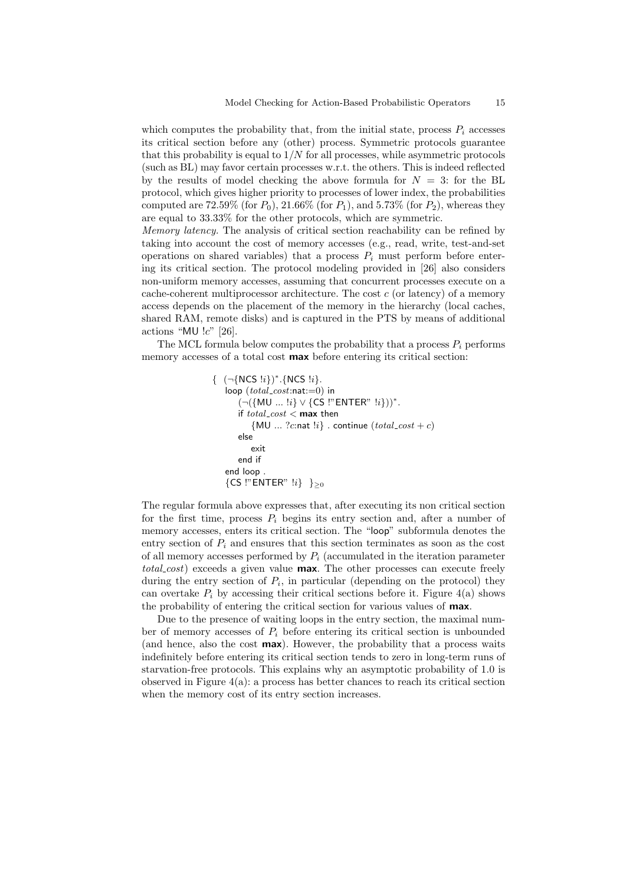which computes the probability that, from the initial state, process  $P_i$  accesses its critical section before any (other) process. Symmetric protocols guarantee that this probability is equal to  $1/N$  for all processes, while asymmetric protocols (such as BL) may favor certain processes w.r.t. the others. This is indeed reflected by the results of model checking the above formula for  $N = 3$ : for the BL protocol, which gives higher priority to processes of lower index, the probabilities computed are 72.59% (for  $P_0$ ), 21.66% (for  $P_1$ ), and 5.73% (for  $P_2$ ), whereas they are equal to 33.33% for the other protocols, which are symmetric.

Memory latency. The analysis of critical section reachability can be refined by taking into account the cost of memory accesses (e.g., read, write, test-and-set operations on shared variables) that a process  $P_i$  must perform before entering its critical section. The protocol modeling provided in [26] also considers non-uniform memory accesses, assuming that concurrent processes execute on a cache-coherent multiprocessor architecture. The cost  $c$  (or latency) of a memory access depends on the placement of the memory in the hierarchy (local caches, shared RAM, remote disks) and is captured in the PTS by means of additional actions "MU  $\lfloor c \rfloor$ " [26].

The MCL formula below computes the probability that a process  $P_i$  performs memory accesses of a total cost **max** before entering its critical section:

```
\{ (\neg \{\text{NCS} \, !i\})^*.\{\text{NCS} \, !i\}.loop (total\_cost:nat:=0) in
       (\neg({MU ... !i}) \vee {CS !"ENTER" !i}))^*.
       if total\_cost < max then
           \{MU \dots ?c:nat ii\}. continue (total\_cost + c)else
          exit
       end if
   end loop .
   {CS} !"ENTER" 1i} }>0
```
The regular formula above expresses that, after executing its non critical section for the first time, process  $P_i$  begins its entry section and, after a number of memory accesses, enters its critical section. The "loop" subformula denotes the entry section of  $P_i$  and ensures that this section terminates as soon as the cost of all memory accesses performed by  $P_i$  (accumulated in the iteration parameter  $total\_cost$ ) exceeds a given value **max**. The other processes can execute freely during the entry section of  $P_i$ , in particular (depending on the protocol) they can overtake  $P_i$  by accessing their critical sections before it. Figure 4(a) shows the probability of entering the critical section for various values of **max**.

Due to the presence of waiting loops in the entry section, the maximal number of memory accesses of  $P_i$  before entering its critical section is unbounded (and hence, also the cost **max**). However, the probability that a process waits indefinitely before entering its critical section tends to zero in long-term runs of starvation-free protocols. This explains why an asymptotic probability of 1.0 is observed in Figure 4(a): a process has better chances to reach its critical section when the memory cost of its entry section increases.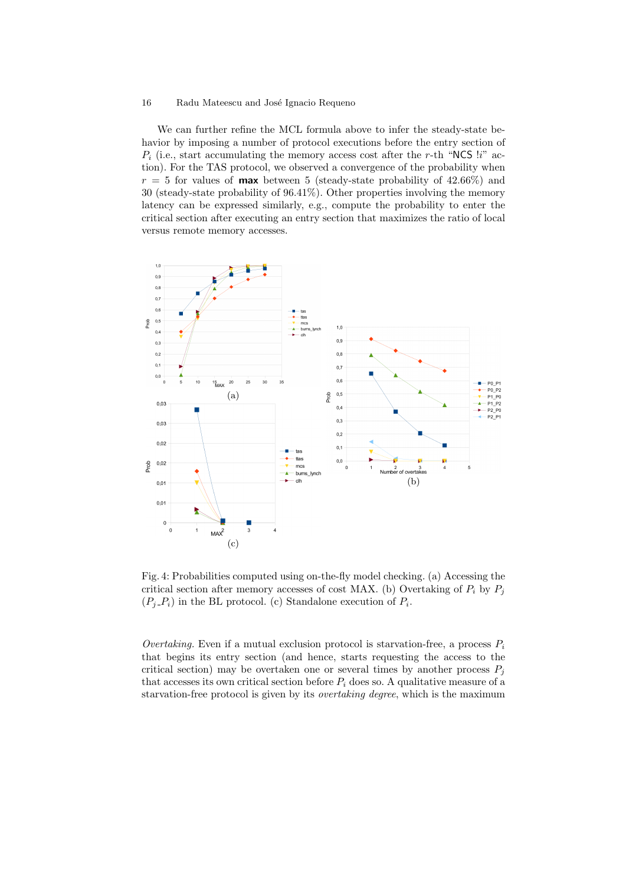We can further refine the MCL formula above to infer the steady-state behavior by imposing a number of protocol executions before the entry section of  $P_i$  (i.e., start accumulating the memory access cost after the r-th "NCS !i" action). For the TAS protocol, we observed a convergence of the probability when  $r = 5$  for values of **max** between 5 (steady-state probability of 42.66%) and 30 (steady-state probability of 96.41%). Other properties involving the memory latency can be expressed similarly, e.g., compute the probability to enter the critical section after executing an entry section that maximizes the ratio of local versus remote memory accesses.



Fig. 4: Probabilities computed using on-the-fly model checking. (a) Accessing the critical section after memory accesses of cost MAX. (b) Overtaking of  $P_i$  by  $P_j$  $(P_j P_i)$  in the BL protocol. (c) Standalone execution of  $P_i$ .

Overtaking. Even if a mutual exclusion protocol is starvation-free, a process  $P_i$ that begins its entry section (and hence, starts requesting the access to the critical section) may be overtaken one or several times by another process  $P_j$ that accesses its own critical section before  $P_i$  does so. A qualitative measure of a starvation-free protocol is given by its overtaking degree, which is the maximum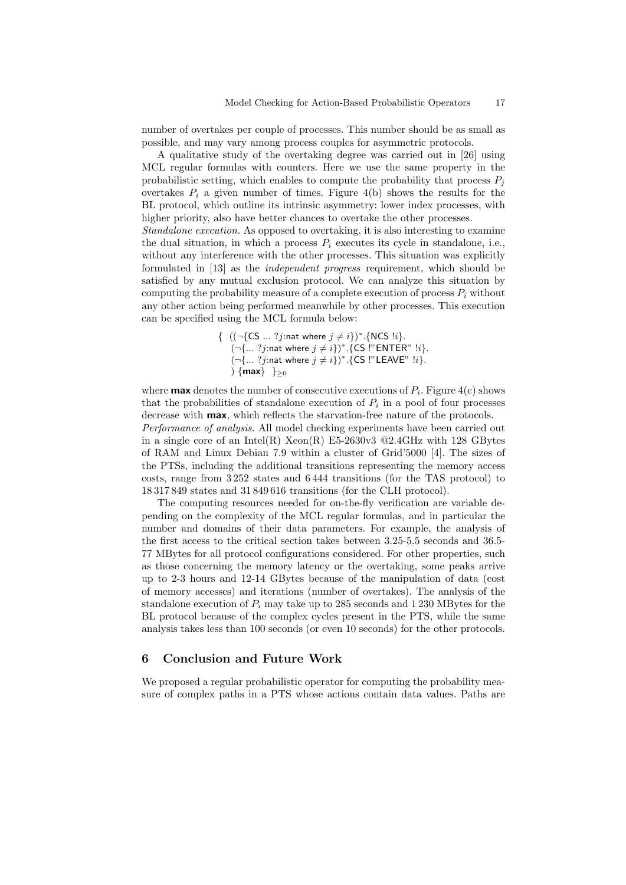number of overtakes per couple of processes. This number should be as small as possible, and may vary among process couples for asymmetric protocols.

A qualitative study of the overtaking degree was carried out in [26] using MCL regular formulas with counters. Here we use the same property in the probabilistic setting, which enables to compute the probability that process  $P_i$ overtakes  $P_i$  a given number of times. Figure 4(b) shows the results for the BL protocol, which outline its intrinsic asymmetry: lower index processes, with higher priority, also have better chances to overtake the other processes.

Standalone execution. As opposed to overtaking, it is also interesting to examine the dual situation, in which a process  $P_i$  executes its cycle in standalone, i.e., without any interference with the other processes. This situation was explicitly formulated in [13] as the independent progress requirement, which should be satisfied by any mutual exclusion protocol. We can analyze this situation by computing the probability measure of a complete execution of process  $P_i$  without any other action being performed meanwhile by other processes. This execution can be specified using the MCL formula below:

{ 
$$
((\neg\{CS \dots ?j:\text{nat where } j \neq i)\}^*.\{NCS \mid i\}.
$$
  $(\neg\{...\ ?j:\text{nat where } j \neq i\})^*.\{CS \mid "ENTER" \mid i\}.$   $(\neg\{...\ ?j:\text{nat where } j \neq i\})^*.\{CS \mid "LEAVE" \mid i\}.$   $\\{\mathbf{max}} \quad \geq 0$ 

where **max** denotes the number of consecutive executions of  $P_i$ . Figure 4(c) shows that the probabilities of standalone execution of  $P_i$  in a pool of four processes decrease with max, which reflects the starvation-free nature of the protocols. Performance of analysis. All model checking experiments have been carried out in a single core of an Intel(R) Xeon(R) E5-2630v3 @2.4GHz with 128 GBytes of RAM and Linux Debian 7.9 within a cluster of Grid'5000 [4]. The sizes of the PTSs, including the additional transitions representing the memory access

costs, range from 3 252 states and 6 444 transitions (for the TAS protocol) to

18 317 849 states and 31 849 616 transitions (for the CLH protocol). The computing resources needed for on-the-fly verification are variable depending on the complexity of the MCL regular formulas, and in particular the number and domains of their data parameters. For example, the analysis of the first access to the critical section takes between 3.25-5.5 seconds and 36.5- 77 MBytes for all protocol configurations considered. For other properties, such as those concerning the memory latency or the overtaking, some peaks arrive up to 2-3 hours and 12-14 GBytes because of the manipulation of data (cost of memory accesses) and iterations (number of overtakes). The analysis of the standalone execution of  $P_i$  may take up to 285 seconds and 1 230 MBytes for the BL protocol because of the complex cycles present in the PTS, while the same analysis takes less than 100 seconds (or even 10 seconds) for the other protocols.

# 6 Conclusion and Future Work

We proposed a regular probabilistic operator for computing the probability measure of complex paths in a PTS whose actions contain data values. Paths are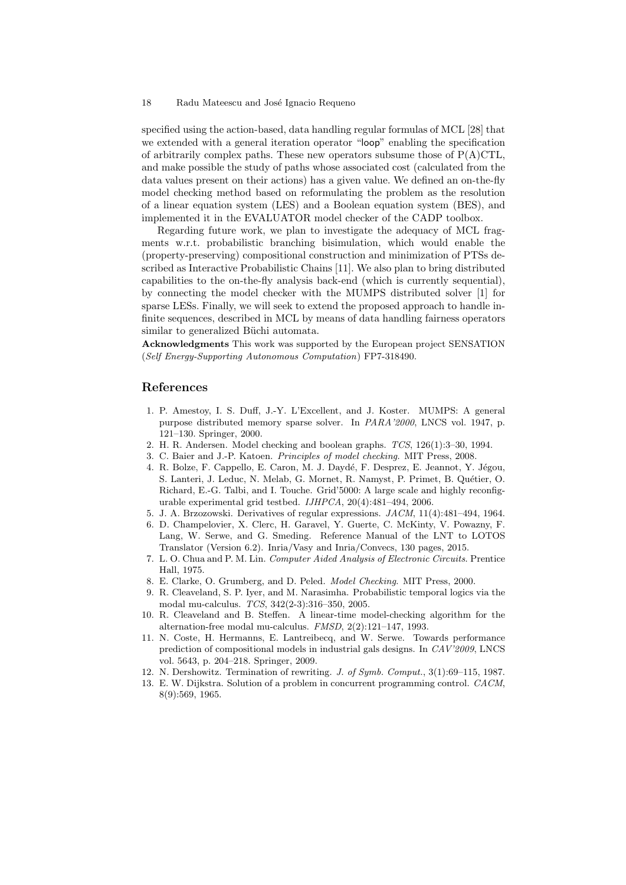specified using the action-based, data handling regular formulas of MCL [28] that we extended with a general iteration operator "loop" enabling the specification of arbitrarily complex paths. These new operators subsume those of  $P(A)$ CTL, and make possible the study of paths whose associated cost (calculated from the data values present on their actions) has a given value. We defined an on-the-fly model checking method based on reformulating the problem as the resolution of a linear equation system (LES) and a Boolean equation system (BES), and implemented it in the EVALUATOR model checker of the CADP toolbox.

Regarding future work, we plan to investigate the adequacy of MCL fragments w.r.t. probabilistic branching bisimulation, which would enable the (property-preserving) compositional construction and minimization of PTSs described as Interactive Probabilistic Chains [11]. We also plan to bring distributed capabilities to the on-the-fly analysis back-end (which is currently sequential), by connecting the model checker with the MUMPS distributed solver [1] for sparse LESs. Finally, we will seek to extend the proposed approach to handle infinite sequences, described in MCL by means of data handling fairness operators similar to generalized Büchi automata.

Acknowledgments This work was supported by the European project SENSATION (Self Energy-Supporting Autonomous Computation) FP7-318490.

# References

- 1. P. Amestoy, I. S. Duff, J.-Y. L'Excellent, and J. Koster. MUMPS: A general purpose distributed memory sparse solver. In PARA'2000, LNCS vol. 1947, p. 121–130. Springer, 2000.
- 2. H. R. Andersen. Model checking and boolean graphs. TCS, 126(1):3–30, 1994.
- 3. C. Baier and J.-P. Katoen. Principles of model checking. MIT Press, 2008.
- 4. R. Bolze, F. Cappello, E. Caron, M. J. Daydé, F. Desprez, E. Jeannot, Y. Jégou, S. Lanteri, J. Leduc, N. Melab, G. Mornet, R. Namyst, P. Primet, B. Quétier, O. Richard, E.-G. Talbi, and I. Touche. Grid'5000: A large scale and highly reconfigurable experimental grid testbed. IJHPCA, 20(4):481–494, 2006.
- 5. J. A. Brzozowski. Derivatives of regular expressions. JACM, 11(4):481–494, 1964.
- 6. D. Champelovier, X. Clerc, H. Garavel, Y. Guerte, C. McKinty, V. Powazny, F. Lang, W. Serwe, and G. Smeding. Reference Manual of the LNT to LOTOS Translator (Version 6.2). Inria/Vasy and Inria/Convecs, 130 pages, 2015.
- 7. L. O. Chua and P. M. Lin. Computer Aided Analysis of Electronic Circuits. Prentice Hall, 1975.
- 8. E. Clarke, O. Grumberg, and D. Peled. Model Checking. MIT Press, 2000.
- 9. R. Cleaveland, S. P. Iyer, and M. Narasimha. Probabilistic temporal logics via the modal mu-calculus. TCS, 342(2-3):316–350, 2005.
- 10. R. Cleaveland and B. Steffen. A linear-time model-checking algorithm for the alternation-free modal mu-calculus. FMSD, 2(2):121–147, 1993.
- 11. N. Coste, H. Hermanns, E. Lantreibecq, and W. Serwe. Towards performance prediction of compositional models in industrial gals designs. In CAV'2009, LNCS vol. 5643, p. 204–218. Springer, 2009.
- 12. N. Dershowitz. Termination of rewriting. J. of Symb. Comput., 3(1):69–115, 1987.
- 13. E. W. Dijkstra. Solution of a problem in concurrent programming control. CACM, 8(9):569, 1965.